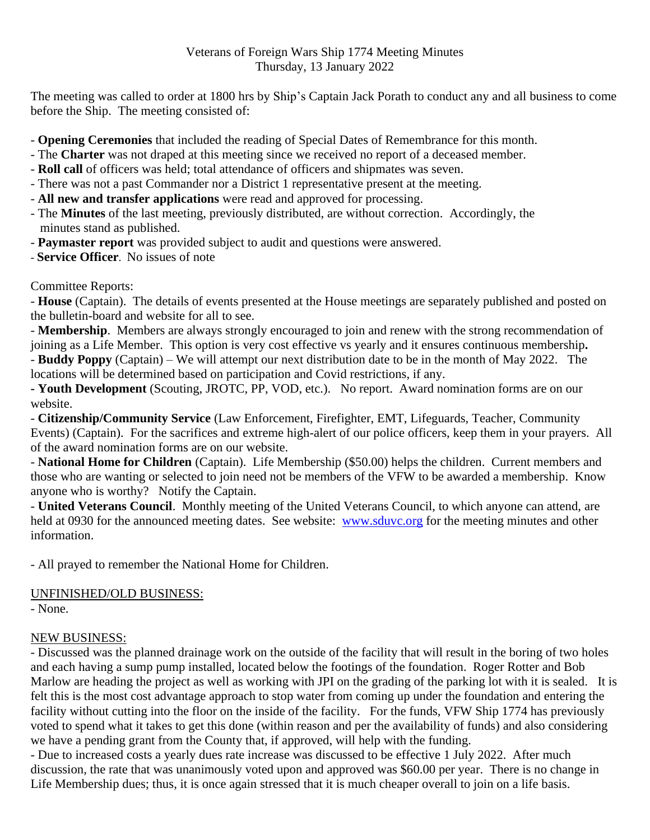## Veterans of Foreign Wars Ship 1774 Meeting Minutes Thursday, 13 January 2022

The meeting was called to order at 1800 hrs by Ship's Captain Jack Porath to conduct any and all business to come before the Ship. The meeting consisted of:

- **Opening Ceremonies** that included the reading of Special Dates of Remembrance for this month.
- The **Charter** was not draped at this meeting since we received no report of a deceased member.
- **Roll call** of officers was held; total attendance of officers and shipmates was seven.
- There was not a past Commander nor a District 1 representative present at the meeting.
- **All new and transfer applications** were read and approved for processing.
- The **Minutes** of the last meeting, previously distributed, are without correction. Accordingly, the minutes stand as published.
- **Paymaster report** was provided subject to audit and questions were answered.
- **Service Officer**. No issues of note

## Committee Reports:

- **House** (Captain). The details of events presented at the House meetings are separately published and posted on the bulletin-board and website for all to see.

- **Membership**. Members are always strongly encouraged to join and renew with the strong recommendation of joining as a Life Member. This option is very cost effective vs yearly and it ensures continuous membership**.**  - **Buddy Poppy** (Captain) – We will attempt our next distribution date to be in the month of May 2022. The locations will be determined based on participation and Covid restrictions, if any.

**- Youth Development** (Scouting, JROTC, PP, VOD, etc.). No report. Award nomination forms are on our website.

- **Citizenship/Community Service** (Law Enforcement, Firefighter, EMT, Lifeguards, Teacher, Community Events) (Captain). For the sacrifices and extreme high-alert of our police officers, keep them in your prayers. All of the award nomination forms are on our website.

- **National Home for Children** (Captain). Life Membership (\$50.00) helps the children. Current members and those who are wanting or selected to join need not be members of the VFW to be awarded a membership. Know anyone who is worthy? Notify the Captain.

- **United Veterans Council**. Monthly meeting of the United Veterans Council, to which anyone can attend, are held at 0930 for the announced meeting dates. See website: [www.sduvc.org](http://www.sduvc.org/) for the meeting minutes and other information.

- All prayed to remember the National Home for Children.

## UNFINISHED/OLD BUSINESS:

- None.

## NEW BUSINESS:

- Discussed was the planned drainage work on the outside of the facility that will result in the boring of two holes and each having a sump pump installed, located below the footings of the foundation. Roger Rotter and Bob Marlow are heading the project as well as working with JPI on the grading of the parking lot with it is sealed. It is felt this is the most cost advantage approach to stop water from coming up under the foundation and entering the facility without cutting into the floor on the inside of the facility. For the funds, VFW Ship 1774 has previously voted to spend what it takes to get this done (within reason and per the availability of funds) and also considering we have a pending grant from the County that, if approved, will help with the funding.

- Due to increased costs a yearly dues rate increase was discussed to be effective 1 July 2022. After much discussion, the rate that was unanimously voted upon and approved was \$60.00 per year. There is no change in Life Membership dues; thus, it is once again stressed that it is much cheaper overall to join on a life basis.